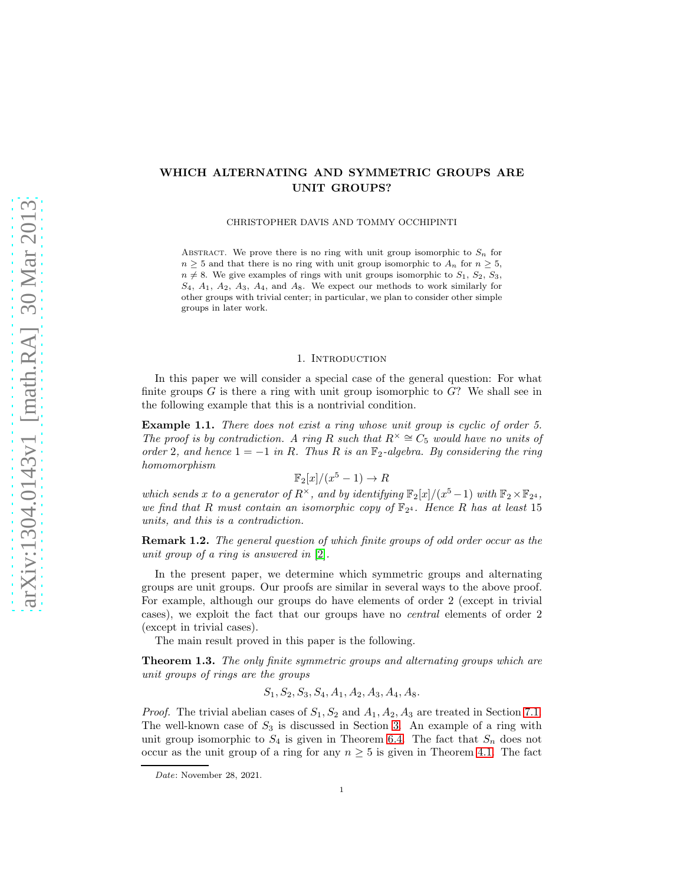# WHICH ALTERNATING AND SYMMETRIC GROUPS ARE UNIT GROUPS?

CHRISTOPHER DAVIS AND TOMMY OCCHIPINTI

ABSTRACT. We prove there is no ring with unit group isomorphic to  $S_n$  for  $n \geq 5$  and that there is no ring with unit group isomorphic to  $A_n$  for  $n \geq 5$ ,  $n \neq 8$ . We give examples of rings with unit groups isomorphic to  $S_1$ ,  $S_2$ ,  $S_3$ ,  $S_4$ ,  $A_1$ ,  $A_2$ ,  $A_3$ ,  $A_4$ , and  $A_8$ . We expect our methods to work similarly for other groups with trivial center; in particular, we plan to consider other simple groups in later work.

#### 1. INTRODUCTION

In this paper we will consider a special case of the general question: For what finite groups  $G$  is there a ring with unit group isomorphic to  $G$ ? We shall see in the following example that this is a nontrivial condition.

Example 1.1. There does not exist a ring whose unit group is cyclic of order 5. The proof is by contradiction. A ring R such that  $R^{\times} \cong C_5$  would have no units of order 2, and hence  $1 = -1$  in R. Thus R is an  $\mathbb{F}_2$ -algebra. By considering the ring homomorphism

$$
\mathbb{F}_2[x]/(x^5 - 1) \to R
$$

which sends x to a generator of  $R^{\times}$ , and by identifying  $\mathbb{F}_2[x]/(x^5-1)$  with  $\mathbb{F}_2 \times \mathbb{F}_{2^4}$ , we find that R must contain an isomorphic copy of  $\mathbb{F}_{2^4}$ . Hence R has at least 15 units, and this is a contradiction.

Remark 1.2. The general question of which finite groups of odd order occur as the unit group of a ring is answered in [\[2\]](#page-9-0).

In the present paper, we determine which symmetric groups and alternating groups are unit groups. Our proofs are similar in several ways to the above proof. For example, although our groups do have elements of order 2 (except in trivial cases), we exploit the fact that our groups have no central elements of order 2 (except in trivial cases).

The main result proved in this paper is the following.

Theorem 1.3. The only finite symmetric groups and alternating groups which are unit groups of rings are the groups

$$
S_1, S_2, S_3, S_4, A_1, A_2, A_3, A_4, A_8.
$$

*Proof.* The trivial abelian cases of  $S_1$ ,  $S_2$  and  $A_1$ ,  $A_2$ ,  $A_3$  are treated in Section [7.1.](#page-6-0) The well-known case of  $S_3$  is discussed in Section [3.](#page-3-0) An example of a ring with unit group isomorphic to  $S_4$  is given in Theorem [6.4.](#page-5-0) The fact that  $S_n$  does not occur as the unit group of a ring for any  $n \geq 5$  is given in Theorem [4.1.](#page-3-1) The fact

Date: November 28, 2021.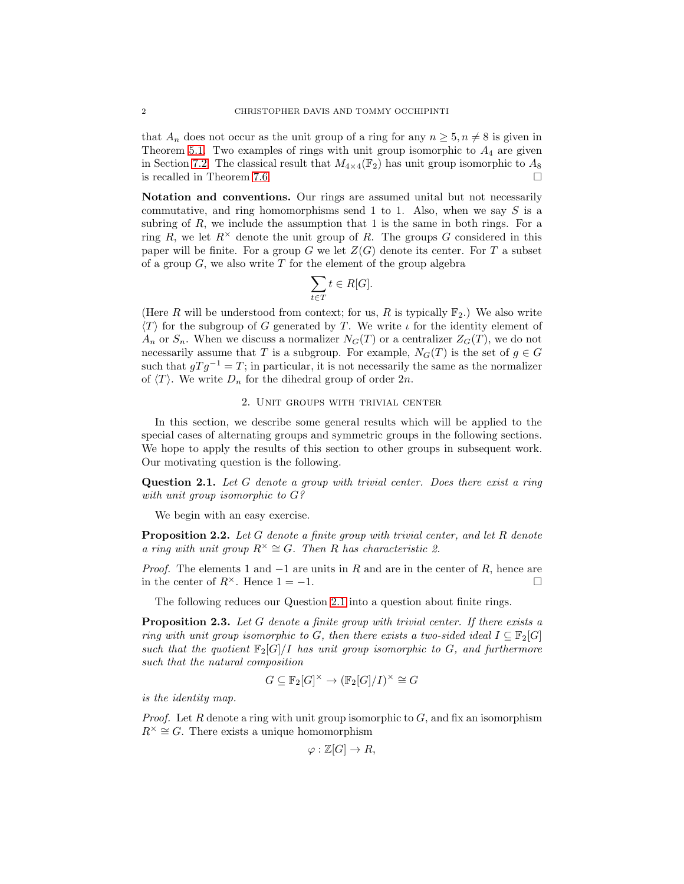that  $A_n$  does not occur as the unit group of a ring for any  $n \geq 5, n \neq 8$  is given in Theorem [5.1.](#page-4-0) Two examples of rings with unit group isomorphic to  $A_4$  are given in Section [7.2.](#page-6-1) The classical result that  $M_{4\times4}(\mathbb{F}_2)$  has unit group isomorphic to  $A_8$ is recalled in Theorem [7.6.](#page-7-0)

Notation and conventions. Our rings are assumed unital but not necessarily commutative, and ring homomorphisms send 1 to 1. Also, when we say  $S$  is a subring of R, we include the assumption that 1 is the same in both rings. For a ring R, we let  $R^{\times}$  denote the unit group of R. The groups G considered in this paper will be finite. For a group G we let  $Z(G)$  denote its center. For T a subset of a group  $G$ , we also write  $T$  for the element of the group algebra

$$
\sum_{t \in T} t \in R[G].
$$

(Here R will be understood from context; for us, R is typically  $\mathbb{F}_2$ .) We also write  $\langle T \rangle$  for the subgroup of G generated by T. We write  $\iota$  for the identity element of  $A_n$  or  $S_n$ . When we discuss a normalizer  $N_G(T)$  or a centralizer  $Z_G(T)$ , we do not necessarily assume that T is a subgroup. For example,  $N_G(T)$  is the set of  $g \in G$ such that  $g T g^{-1} = T$ ; in particular, it is not necessarily the same as the normalizer of  $\langle T \rangle$ . We write  $D_n$  for the dihedral group of order  $2n$ .

## 2. Unit groups with trivial center

<span id="page-1-3"></span>In this section, we describe some general results which will be applied to the special cases of alternating groups and symmetric groups in the following sections. We hope to apply the results of this section to other groups in subsequent work. Our motivating question is the following.

<span id="page-1-0"></span>Question 2.1. Let G denote a group with trivial center. Does there exist a ring with unit group isomorphic to  $G$ ?

We begin with an easy exercise.

<span id="page-1-1"></span>**Proposition 2.2.** Let G denote a finite group with trivial center, and let R denote a ring with unit group  $R^{\times} \cong G$ . Then R has characteristic 2.

*Proof.* The elements 1 and  $-1$  are units in R and are in the center of R, hence are in the center of  $R^{\times}$ . Hence  $1 = -1$ .

The following reduces our Question [2.1](#page-1-0) into a question about finite rings.

<span id="page-1-2"></span>**Proposition 2.3.** Let G denote a finite group with trivial center. If there exists a ring with unit group isomorphic to G, then there exists a two-sided ideal  $I \subseteq \mathbb{F}_2[G]$ such that the quotient  $\mathbb{F}_2[G]/I$  has unit group isomorphic to G, and furthermore such that the natural composition

$$
G \subseteq \mathbb{F}_2[G]^\times \to (\mathbb{F}_2[G]/I)^\times \cong G
$$

is the identity map.

*Proof.* Let R denote a ring with unit group isomorphic to  $G$ , and fix an isomorphism  $R^{\times} \cong G$ . There exists a unique homomorphism

$$
\varphi:\mathbb{Z}[G]\to R,
$$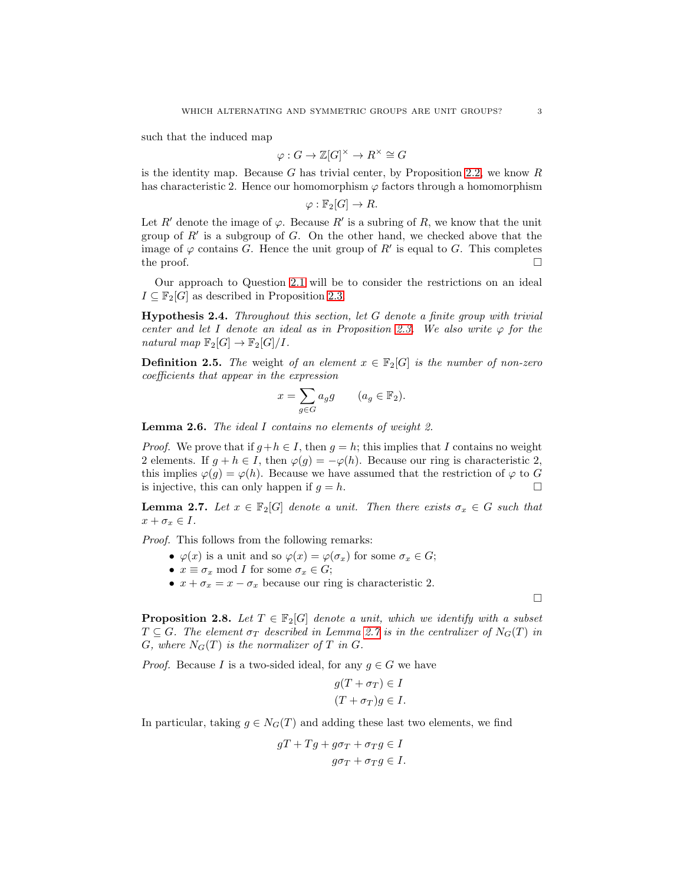such that the induced map

$$
\varphi: G \to \mathbb{Z}[G]^\times \to R^\times \cong G
$$

is the identity map. Because G has trivial center, by Proposition [2.2,](#page-1-1) we know  $R$ has characteristic 2. Hence our homomorphism  $\varphi$  factors through a homomorphism

$$
\varphi : \mathbb{F}_2[G] \to R.
$$

Let R' denote the image of  $\varphi$ . Because R' is a subring of R, we know that the unit group of  $R'$  is a subgroup of  $G$ . On the other hand, we checked above that the image of  $\varphi$  contains G. Hence the unit group of R' is equal to G. This completes the proof.  $\Box$ 

Our approach to Question [2.1](#page-1-0) will be to consider the restrictions on an ideal  $I \subseteq \mathbb{F}_2[G]$  as described in Proposition [2.3.](#page-1-2)

**Hypothesis 2.4.** Throughout this section, let  $G$  denote a finite group with trivial center and let I denote an ideal as in Proposition [2.3.](#page-1-2) We also write  $\varphi$  for the natural map  $\mathbb{F}_2[G] \to \mathbb{F}_2[G]/I$ .

**Definition 2.5.** The weight of an element  $x \in \mathbb{F}_2[G]$  is the number of non-zero coefficients that appear in the expression

$$
x = \sum_{g \in G} a_g g \qquad (a_g \in \mathbb{F}_2).
$$

<span id="page-2-1"></span>**Lemma 2.6.** The ideal I contains no elements of weight 2.

*Proof.* We prove that if  $g + h \in I$ , then  $g = h$ ; this implies that I contains no weight 2 elements. If  $g + h \in I$ , then  $\varphi(g) = -\varphi(h)$ . Because our ring is characteristic 2, this implies  $\varphi(g) = \varphi(h)$ . Because we have assumed that the restriction of  $\varphi$  to G is injective, this can only happen if  $g = h$ .

<span id="page-2-0"></span>**Lemma 2.7.** Let  $x \in \mathbb{F}_2[G]$  denote a unit. Then there exists  $\sigma_x \in G$  such that  $x + \sigma_x \in I$ .

Proof. This follows from the following remarks:

- $\varphi(x)$  is a unit and so  $\varphi(x) = \varphi(\sigma_x)$  for some  $\sigma_x \in G$ ;
- $x \equiv \sigma_x \mod I$  for some  $\sigma_x \in G$ ;
- $x + \sigma_x = x \sigma_x$  because our ring is characteristic 2.

 $\Box$ 

<span id="page-2-2"></span>**Proposition 2.8.** Let  $T \in \mathbb{F}_2[G]$  denote a unit, which we identify with a subset  $T \subseteq G$ . The element  $\sigma_T$  described in Lemma [2.7](#page-2-0) is in the centralizer of  $N_G(T)$  in G, where  $N_G(T)$  is the normalizer of T in G.

*Proof.* Because I is a two-sided ideal, for any  $q \in G$  we have

$$
g(T + \sigma_T) \in I
$$

$$
(T + \sigma_T)g \in I.
$$

In particular, taking  $g \in N_G(T)$  and adding these last two elements, we find

$$
gT + Tg + g\sigma_T + \sigma_T g \in I
$$

$$
g\sigma_T + \sigma_T g \in I.
$$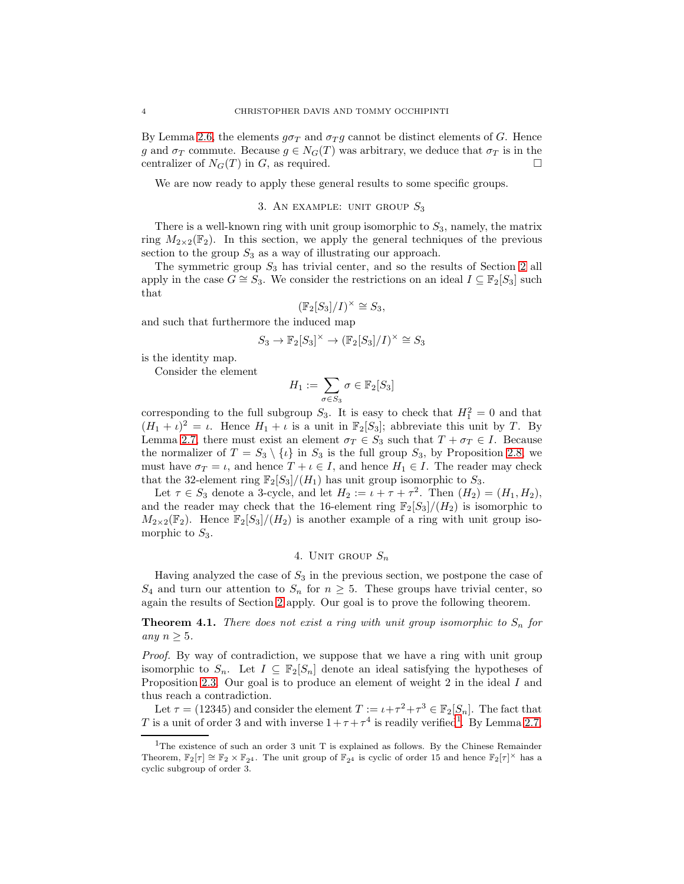By Lemma [2.6,](#page-2-1) the elements  $g\sigma_T$  and  $\sigma_T g$  cannot be distinct elements of G. Hence g and  $\sigma_T$  commute. Because  $g \in N_G(T)$  was arbitrary, we deduce that  $\sigma_T$  is in the centralizer of  $N_G(T)$  in G, as required.

<span id="page-3-0"></span>We are now ready to apply these general results to some specific groups.

### 3. AN EXAMPLE: UNIT GROUP  $S_3$

There is a well-known ring with unit group isomorphic to  $S_3$ , namely, the matrix ring  $M_{2\times2}(\mathbb{F}_2)$ . In this section, we apply the general techniques of the previous section to the group  $S_3$  as a way of illustrating our approach.

The symmetric group  $S_3$  has trivial center, and so the results of Section [2](#page-1-3) all apply in the case  $G \cong S_3$ . We consider the restrictions on an ideal  $I \subseteq \mathbb{F}_2[S_3]$  such that

$$
(\mathbb{F}_2[S_3]/I)^\times \cong S_3,
$$

and such that furthermore the induced map

$$
S_3 \to \mathbb{F}_2[S_3]^\times \to (\mathbb{F}_2[S_3]/I)^\times \cong S_3
$$

is the identity map.

Consider the element

$$
H_1 := \sum_{\sigma \in S_3} \sigma \in \mathbb{F}_2[S_3]
$$

corresponding to the full subgroup  $S_3$ . It is easy to check that  $H_1^2 = 0$  and that  $(H_1 + \iota)^2 = \iota$ . Hence  $H_1 + \iota$  is a unit in  $\mathbb{F}_2[S_3]$ ; abbreviate this unit by T. By Lemma [2.7,](#page-2-0) there must exist an element  $\sigma_T \in S_3$  such that  $T + \sigma_T \in I$ . Because the normalizer of  $T = S_3 \setminus \{t\}$  in  $S_3$  is the full group  $S_3$ , by Proposition [2.8,](#page-2-2) we must have  $\sigma_T = \iota$ , and hence  $T + \iota \in I$ , and hence  $H_1 \in I$ . The reader may check that the 32-element ring  $\mathbb{F}_2[S_3]/(H_1)$  has unit group isomorphic to  $S_3$ .

Let  $\tau \in S_3$  denote a 3-cycle, and let  $H_2 := \iota + \tau + \tau^2$ . Then  $(H_2) = (H_1, H_2)$ , and the reader may check that the 16-element ring  $\mathbb{F}_2[S_3]/(H_2)$  is isomorphic to  $M_{2\times2}(\mathbb{F}_2)$ . Hence  $\mathbb{F}_2[S_3]/(H_2)$  is another example of a ring with unit group isomorphic to  $S_3$ .

4. UNIT GROUP 
$$
S_n
$$

Having analyzed the case of  $S_3$  in the previous section, we postpone the case of  $S_4$  and turn our attention to  $S_n$  for  $n \geq 5$ . These groups have trivial center, so again the results of Section [2](#page-1-3) apply. Our goal is to prove the following theorem.

<span id="page-3-1"></span>**Theorem 4.1.** There does not exist a ring with unit group isomorphic to  $S_n$  for any  $n \geq 5$ .

Proof. By way of contradiction, we suppose that we have a ring with unit group isomorphic to  $S_n$ . Let  $I \subseteq \mathbb{F}_2[S_n]$  denote an ideal satisfying the hypotheses of Proposition [2.3.](#page-1-2) Our goal is to produce an element of weight 2 in the ideal I and thus reach a contradiction.

Let  $\tau = (12345)$  and consider the element  $T := \iota + \tau^2 + \tau^3 \in \mathbb{F}_2[S_n]$ . The fact that T is a unit of order 3 and with inverse  $1+\tau+\tau^4$  $1+\tau+\tau^4$  is readily verified<sup>1</sup>. By Lemma [2.7,](#page-2-0)

<span id="page-3-2"></span><sup>1</sup>The existence of such an order 3 unit T is explained as follows. By the Chinese Remainder Theorem,  $\mathbb{F}_2[\tau] \cong \mathbb{F}_2 \times \mathbb{F}_{2^4}$ . The unit group of  $\mathbb{F}_{2^4}$  is cyclic of order 15 and hence  $\mathbb{F}_2[\tau]^{\times}$  has a cyclic subgroup of order 3.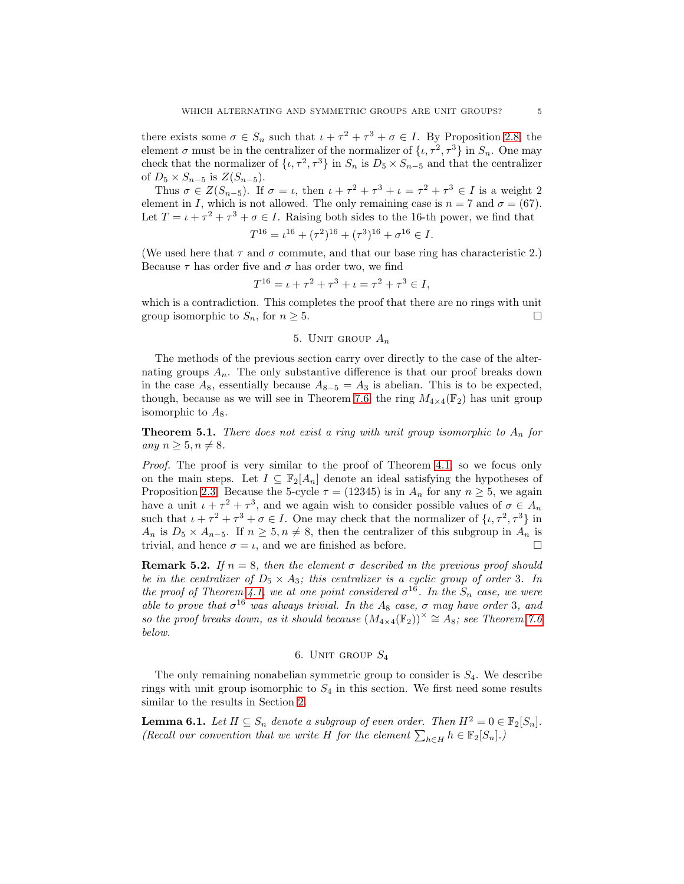there exists some  $\sigma \in S_n$  such that  $\iota + \tau^2 + \tau^3 + \sigma \in I$ . By Proposition [2.8,](#page-2-2) the element  $\sigma$  must be in the centralizer of the normalizer of  $\{\iota, \tau^2, \tau^3\}$  in  $S_n$ . One may check that the normalizer of  $\{\iota, \tau^2, \tau^3\}$  in  $S_n$  is  $D_5 \times S_{n-5}$  and that the centralizer of  $D_5 \times S_{n-5}$  is  $Z(S_{n-5})$ .

Thus  $\sigma \in Z(S_{n-5})$ . If  $\sigma = \iota$ , then  $\iota + \tau^2 + \tau^3 + \iota = \tau^2 + \tau^3 \in I$  is a weight 2 element in I, which is not allowed. The only remaining case is  $n = 7$  and  $\sigma = (67)$ . Let  $T = \iota + \tau^2 + \tau^3 + \sigma \in I$ . Raising both sides to the 16-th power, we find that

$$
T^{16} = \iota^{16} + (\tau^2)^{16} + (\tau^3)^{16} + \sigma^{16} \in I.
$$

(We used here that  $\tau$  and  $\sigma$  commute, and that our base ring has characteristic 2.) Because  $\tau$  has order five and  $\sigma$  has order two, we find

$$
T^{16} = \iota + \tau^2 + \tau^3 + \iota = \tau^2 + \tau^3 \in I,
$$

which is a contradiction. This completes the proof that there are no rings with unit group isomorphic to  $S_n$ , for  $n \geq 5$ .

# 5. UNIT GROUP  $A_n$

The methods of the previous section carry over directly to the case of the alternating groups  $A_n$ . The only substantive difference is that our proof breaks down in the case  $A_8$ , essentially because  $A_{8-5} = A_3$  is abelian. This is to be expected, though, because as we will see in Theorem [7.6,](#page-7-0) the ring  $M_{4\times4}(\mathbb{F}_2)$  has unit group isomorphic to  $A_8$ .

<span id="page-4-0"></span>**Theorem 5.1.** There does not exist a ring with unit group isomorphic to  $A_n$  for any  $n \geq 5, n \neq 8$ .

Proof. The proof is very similar to the proof of Theorem [4.1,](#page-3-1) so we focus only on the main steps. Let  $I \subseteq \mathbb{F}_2[A_n]$  denote an ideal satisfying the hypotheses of Proposition [2.3.](#page-1-2) Because the 5-cycle  $\tau = (12345)$  is in  $A_n$  for any  $n \geq 5$ , we again have a unit  $\iota + \tau^2 + \tau^3$ , and we again wish to consider possible values of  $\sigma \in A_n$ such that  $\iota + \tau^2 + \tau^3 + \sigma \in I$ . One may check that the normalizer of  $\{\iota, \tau^2, \tau^3\}$  in  $A_n$  is  $D_5 \times A_{n-5}$ . If  $n \geq 5, n \neq 8$ , then the centralizer of this subgroup in  $A_n$  is trivial, and hence  $\sigma = \iota$ , and we are finished as before.

**Remark 5.2.** If  $n = 8$ , then the element  $\sigma$  described in the previous proof should be in the centralizer of  $D_5 \times A_3$ ; this centralizer is a cyclic group of order 3. In the proof of Theorem [4.1,](#page-3-1) we at one point considered  $\sigma^{16}$ . In the  $S_n$  case, we were able to prove that  $\sigma^{16}$  was always trivial. In the A<sub>8</sub> case,  $\sigma$  may have order 3, and so the proof breaks down, as it should because  $(M_{4\times 4}(\mathbb{F}_2))^{\times} \cong A_8$ ; see Theorem [7.6](#page-7-0) below.

### 6. UNIT GROUP  $S_4$

The only remaining nonabelian symmetric group to consider is  $S_4$ . We describe rings with unit group isomorphic to  $S_4$  in this section. We first need some results similar to the results in Section [2.](#page-1-3)

**Lemma 6.1.** Let  $H \subseteq S_n$  denote a subgroup of even order. Then  $H^2 = 0 \in \mathbb{F}_2[S_n]$ . (Recall our convention that we write H for the element  $\sum_{h \in H} h \in \mathbb{F}_2[S_n].$ )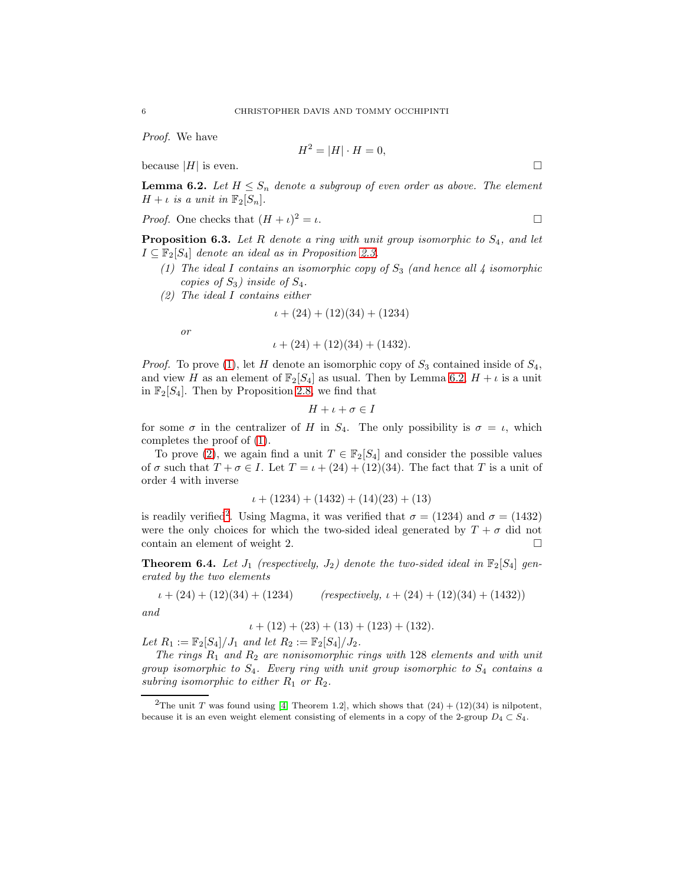Proof. We have

$$
H^2 = |H| \cdot H = 0,
$$

because  $|H|$  is even.

<span id="page-5-2"></span>**Lemma 6.2.** Let  $H \leq S_n$  denote a subgroup of even order as above. The element  $H + \iota$  is a unit in  $\mathbb{F}_2[S_n]$ .

*Proof.* One checks that 
$$
(H + \iota)^2 = \iota
$$
.

<span id="page-5-5"></span><span id="page-5-1"></span>**Proposition 6.3.** Let R denote a ring with unit group isomorphic to  $S_4$ , and let  $I \subseteq \mathbb{F}_2[S_4]$  denote an ideal as in Proposition [2.3.](#page-1-2)

- <span id="page-5-3"></span>(1) The ideal I contains an isomorphic copy of  $S_3$  (and hence all 4 isomorphic copies of  $S_3$ ) inside of  $S_4$ .
- (2) The ideal I contains either

$$
\iota + (24) + (12)(34) + (1234)
$$

or

$$
\iota + (24) + (12)(34) + (1432).
$$

*Proof.* To prove [\(1\)](#page-5-1), let H denote an isomorphic copy of  $S_3$  contained inside of  $S_4$ , and view H as an element of  $\mathbb{F}_2[S_4]$  as usual. Then by Lemma [6.2,](#page-5-2)  $H + \iota$  is a unit in  $\mathbb{F}_2[S_4]$ . Then by Proposition [2.8,](#page-2-2) we find that

$$
H + \iota + \sigma \in I
$$

for some  $\sigma$  in the centralizer of H in  $S_4$ . The only possibility is  $\sigma = \iota$ , which completes the proof of [\(1\)](#page-5-1).

To prove [\(2\)](#page-5-3), we again find a unit  $T \in \mathbb{F}_2[S_4]$  and consider the possible values of  $\sigma$  such that  $T + \sigma \in I$ . Let  $T = \iota + (24) + (12)(34)$ . The fact that T is a unit of order 4 with inverse

$$
\iota + (1234) + (1432) + (14)(23) + (13)
$$

is readily verified<sup>[2](#page-5-4)</sup>. Using Magma, it was verified that  $\sigma = (1234)$  and  $\sigma = (1432)$ were the only choices for which the two-sided ideal generated by  $T + \sigma$  did not contain an element of weight 2.

<span id="page-5-0"></span>**Theorem 6.4.** Let  $J_1$  (respectively,  $J_2$ ) denote the two-sided ideal in  $\mathbb{F}_2[S_4]$  generated by the two elements

$$
\iota + (24) + (12)(34) + (1234) \qquad (respectively, \iota + (24) + (12)(34) + (1432))
$$

and

$$
\iota + (12) + (23) + (13) + (123) + (132).
$$
  
Let  $R_1 := \mathbb{F}_2[S_4]/J_1$  and let  $R_2 := \mathbb{F}_2[S_4]/J_2$ .

The rings  $R_1$  and  $R_2$  are nonisomorphic rings with 128 elements and with unit group isomorphic to  $S_4$ . Every ring with unit group isomorphic to  $S_4$  contains a subring isomorphic to either  $R_1$  or  $R_2$ .

<span id="page-5-4"></span><sup>&</sup>lt;sup>2</sup>The unit T was found using [\[4,](#page-9-1) Theorem 1.2], which shows that  $(24) + (12)(34)$  is nilpotent, because it is an even weight element consisting of elements in a copy of the 2-group  $D_4 \subset S_4$ .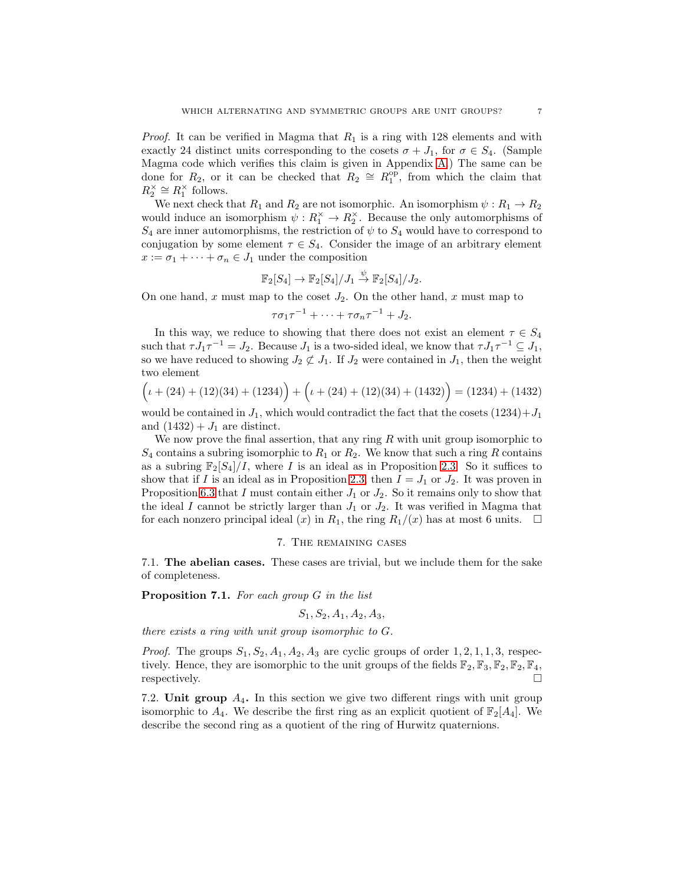*Proof.* It can be verified in Magma that  $R_1$  is a ring with 128 elements and with exactly 24 distinct units corresponding to the cosets  $\sigma + J_1$ , for  $\sigma \in S_4$ . (Sample Magma code which verifies this claim is given in Appendix [A.](#page-8-0)) The same can be done for  $R_2$ , or it can be checked that  $R_2 \cong R_1^{\text{op}}$ , from which the claim that  $R_2^{\times} \cong R_1^{\times}$  follows.

We next check that  $R_1$  and  $R_2$  are not isomorphic. An isomorphism  $\psi : R_1 \to R_2$ would induce an isomorphism  $\psi : R_1^{\times} \to R_2^{\times}$ . Because the only automorphisms of  $S_4$  are inner automorphisms, the restriction of  $\psi$  to  $S_4$  would have to correspond to conjugation by some element  $\tau \in S_4$ . Consider the image of an arbitrary element  $x := \sigma_1 + \cdots + \sigma_n \in J_1$  under the composition

$$
\mathbb{F}_2[S_4] \to \mathbb{F}_2[S_4]/J_1 \overset{\psi}{\to} \mathbb{F}_2[S_4]/J_2.
$$

On one hand, x must map to the coset  $J_2$ . On the other hand, x must map to

$$
\tau \sigma_1 \tau^{-1} + \cdots + \tau \sigma_n \tau^{-1} + J_2.
$$

In this way, we reduce to showing that there does not exist an element  $\tau \in S_4$ such that  $\tau J_1 \tau^{-1} = J_2$ . Because  $J_1$  is a two-sided ideal, we know that  $\tau J_1 \tau^{-1} \subseteq J_1$ , so we have reduced to showing  $J_2 \not\subset J_1$ . If  $J_2$  were contained in  $J_1$ , then the weight two element

$$
(\iota + (24) + (12)(34) + (1234)) + (\iota + (24) + (12)(34) + (1432)) = (1234) + (1432)
$$

would be contained in  $J_1$ , which would contradict the fact that the cosets  $(1234)+J_1$ and  $(1432) + J_1$  are distinct.

We now prove the final assertion, that any ring  $R$  with unit group isomorphic to  $S_4$  contains a subring isomorphic to  $R_1$  or  $R_2$ . We know that such a ring R contains as a subring  $\mathbb{F}_2[S_4]/I$ , where I is an ideal as in Proposition [2.3.](#page-1-2) So it suffices to show that if I is an ideal as in Proposition [2.3,](#page-1-2) then  $I = J_1$  or  $J_2$ . It was proven in Proposition [6.3](#page-5-5) that I must contain either  $J_1$  or  $J_2$ . So it remains only to show that the ideal I cannot be strictly larger than  $J_1$  or  $J_2$ . It was verified in Magma that for each nonzero principal ideal (x) in  $R_1$ , the ring  $R_1/(x)$  has at most 6 units.  $\Box$ 

#### 7. The remaining cases

<span id="page-6-0"></span>7.1. The abelian cases. These cases are trivial, but we include them for the sake of completeness.

**Proposition 7.1.** For each group  $G$  in the list

$$
S_1, S_2, A_1, A_2, A_3,
$$

there exists a ring with unit group isomorphic to G.

*Proof.* The groups  $S_1, S_2, A_1, A_2, A_3$  are cyclic groups of order 1, 2, 1, 1, 3, respectively. Hence, they are isomorphic to the unit groups of the fields  $\mathbb{F}_2, \mathbb{F}_3, \mathbb{F}_2, \mathbb{F}_4,$ respectively.  $\Box$ 

<span id="page-6-1"></span>7.2. Unit group  $A_4$ . In this section we give two different rings with unit group isomorphic to  $A_4$ . We describe the first ring as an explicit quotient of  $\mathbb{F}_2[A_4]$ . We describe the second ring as a quotient of the ring of Hurwitz quaternions.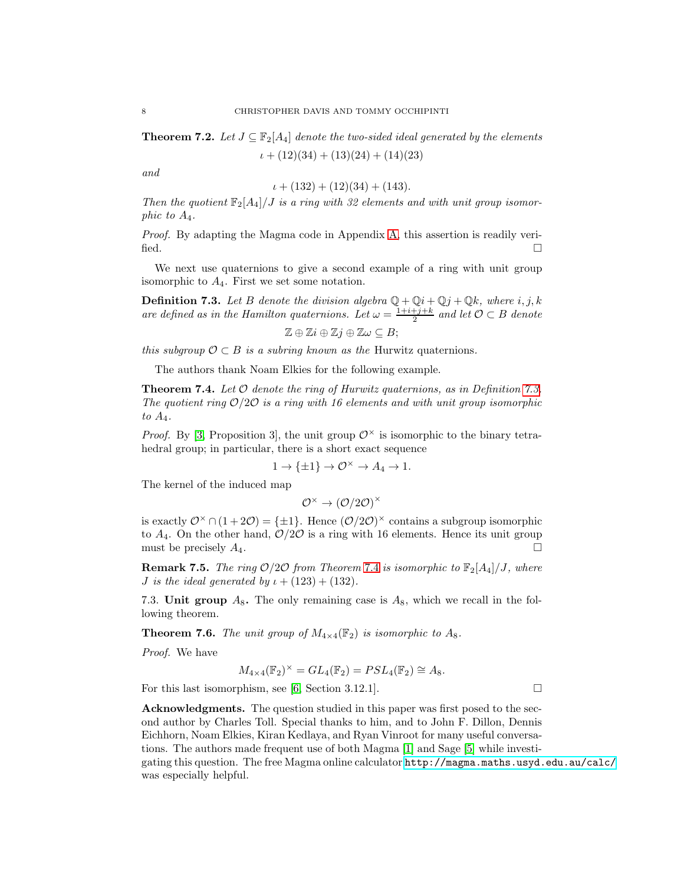**Theorem 7.2.** Let  $J \subseteq \mathbb{F}_2[A_4]$  denote the two-sided ideal generated by the elements

 $\iota + (12)(34) + (13)(24) + (14)(23)$ 

and

$$
\iota + (132) + (12)(34) + (143).
$$

Then the quotient  $\mathbb{F}_2[A_4]/J$  is a ring with 32 elements and with unit group isomorphic to A4.

Proof. By adapting the Magma code in Appendix [A,](#page-8-0) this assertion is readily verified.  $\Box$ 

We next use quaternions to give a second example of a ring with unit group isomorphic to  $A_4$ . First we set some notation.

<span id="page-7-1"></span>**Definition 7.3.** Let B denote the division algebra  $\mathbb{Q} + \mathbb{Q}i + \mathbb{Q}j + \mathbb{Q}k$ , where i, j, k are defined as in the Hamilton quaternions. Let  $\omega = \frac{1+i+j+k}{2}$  and let  $\mathcal{O} \subset B$  denote

$$
\mathbb{Z}\oplus\mathbb{Z}i\oplus\mathbb{Z}j\oplus\mathbb{Z}\omega\subseteq B;
$$

this subgroup  $\mathcal{O} \subset B$  is a subring known as the Hurwitz quaternions.

The authors thank Noam Elkies for the following example.

<span id="page-7-2"></span>**Theorem 7.4.** Let  $\mathcal O$  denote the ring of Hurwitz quaternions, as in Definition [7.3.](#page-7-1) The quotient ring  $O/2O$  is a ring with 16 elements and with unit group isomorphic to  $A_4$ .

*Proof.* By [\[3,](#page-9-2) Proposition 3], the unit group  $\mathcal{O}^{\times}$  is isomorphic to the binary tetrahedral group; in particular, there is a short exact sequence

$$
1 \to \{\pm 1\} \to \mathcal{O}^\times \to A_4 \to 1.
$$

The kernel of the induced map

$$
\mathcal{O}^\times \to \left(\mathcal{O}/2\mathcal{O}\right)^\times
$$

is exactly  $\mathcal{O}^{\times} \cap (1+2\mathcal{O}) = \{\pm 1\}$ . Hence  $(\mathcal{O}/2\mathcal{O})^{\times}$  contains a subgroup isomorphic to  $A_4$ . On the other hand,  $\mathcal{O}/2\mathcal{O}$  is a ring with 16 elements. Hence its unit group must be precisely  $A_4$ .

**Remark [7](#page-7-2).5.** The ring  $O/2O$  from Theorem 7.4 is isomorphic to  $\mathbb{F}_2[A_4]/J$ , where *J* is the ideal generated by  $\iota + (123) + (132)$ .

7.3. Unit group  $A_8$ . The only remaining case is  $A_8$ , which we recall in the following theorem.

<span id="page-7-0"></span>**Theorem 7.6.** The unit group of  $M_{4\times4}(\mathbb{F}_2)$  is isomorphic to  $A_8$ .

Proof. We have

$$
M_{4\times 4}(\mathbb{F}_2)^{\times} = GL_4(\mathbb{F}_2) = PSL_4(\mathbb{F}_2) \cong A_8.
$$

For this last isomorphism, see [\[6,](#page-9-3) Section 3.12.1].

Acknowledgments. The question studied in this paper was first posed to the second author by Charles Toll. Special thanks to him, and to John F. Dillon, Dennis Eichhorn, Noam Elkies, Kiran Kedlaya, and Ryan Vinroot for many useful conversations. The authors made frequent use of both Magma [\[1\]](#page-8-1) and Sage [\[5\]](#page-9-4) while investigating this question. The free Magma online calculator <http://magma.maths.usyd.edu.au/calc/> was especially helpful.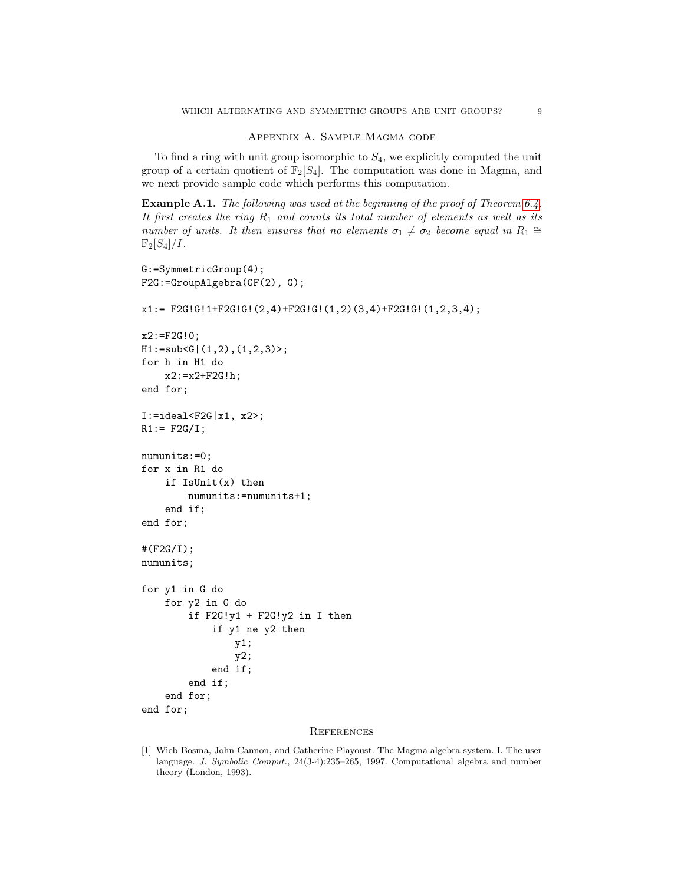### Appendix A. Sample Magma code

<span id="page-8-0"></span>To find a ring with unit group isomorphic to  $S_4$ , we explicitly computed the unit group of a certain quotient of  $\mathbb{F}_2[S_4]$ . The computation was done in Magma, and we next provide sample code which performs this computation.

Example A.1. The following was used at the beginning of the proof of Theorem [6.4.](#page-5-0) It first creates the ring  $R_1$  and counts its total number of elements as well as its number of units. It then ensures that no elements  $\sigma_1 \neq \sigma_2$  become equal in  $R_1 \cong$  $\mathbb{F}_2[S_4]/I$ .

```
G:=SymmetricGroup(4);
F2G:=GroupAlgebra(GF(2), G);
x1:= F2GIGI1+F2GIGI(2,4)+F2GIGI(1,2)(3,4)+F2GIGI(1,2,3,4);x2:=F2G!0;H1:=sub<G|(1,2),(1,2,3)>;
for h in H1 do
    x2:=x2+F2G!h;end for;
I:=ideal < F2G | x1, x2;
R1:= F2G/I;numunits:=0;
for x in R1 do
    if IsUnit(x) then
        numunits:=numunits+1;
    end if;
end for;
#(F2G/I);
numunits;
for y1 in G do
    for y2 in G do
        if F2G!y1 + F2G!y2 in I then
            if y1 ne y2 then
                y1;
                y2;
            end if;
        end if;
    end for;
end for;
```
#### **REFERENCES**

<span id="page-8-1"></span>[1] Wieb Bosma, John Cannon, and Catherine Playoust. The Magma algebra system. I. The user language. J. Symbolic Comput., 24(3-4):235–265, 1997. Computational algebra and number theory (London, 1993).